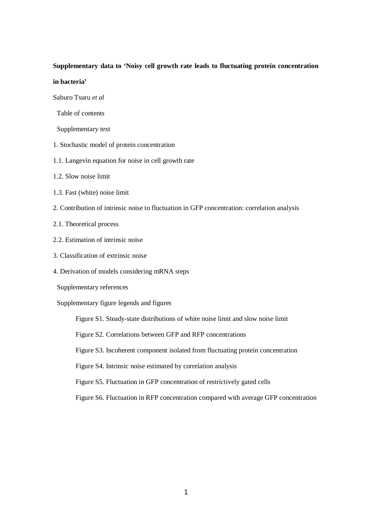## **Supplementary data to 'Noisy cell growth rate leads to fluctuating protein concentration**

## **in bacteria'**

Saburo Tsuru *et al*

- Table of contents
- Supplementary text
- 1. Stochastic model of protein concentration
- 1.1. Langevin equation for noise in cell growth rate
- 1.2. Slow noise limit
- 1.3. Fast (white) noise limit
- 2. Contribution of intrinsic noise to fluctuation in GFP concentration: correlation analysis
- 2.1. Theoretical process
- 2.2. Estimation of intrinsic noise
- 3. Classification of extrinsic noise
- 4. Derivation of models considering mRNA steps
- Supplementary references

Supplementary figure legends and figures

Figure S1. Steady-state distributions of white noise limit and slow noise limit

Figure S2. Correlations between GFP and RFP concentrations

Figure S3. Incoherent component isolated from fluctuating protein concentration

Figure S4. Intrinsic noise estimated by correlation analysis

Figure S5. Fluctuation in GFP concentration of restrictively gated cells

Figure S6. Fluctuation in RFP concentration compared with average GFP concentration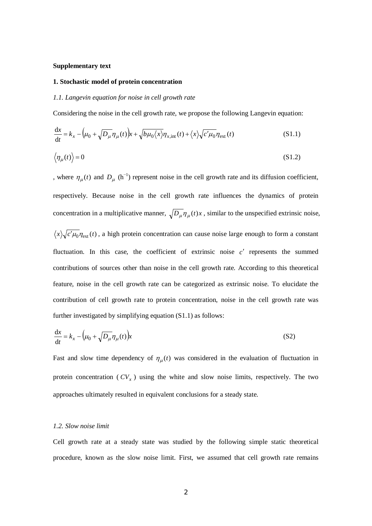### **Supplementary text**

#### **1. Stochastic model of protein concentration**

#### *1.1. Langevin equation for noise in cell growth rate*

Considering the noise in the cell growth rate, we propose the following Langevin equation:

$$
\frac{dx}{dt} = k_x - (\mu_0 + \sqrt{D_\mu} \eta_\mu(t))x + \sqrt{b\mu_0\langle x \rangle} \eta_{x,\text{int}}(t) + \langle x \rangle \sqrt{c'\mu_0} \eta_{\text{ext}}(t)
$$
(S1.1)

$$
\langle \eta_{\mu}(t) \rangle = 0 \tag{S1.2}
$$

, where  $\eta_{\mu}(t)$  and  $D_{\mu}$  (h<sup>-1</sup>) represent noise in the cell growth rate and its diffusion coefficient, respectively. Because noise in the cell growth rate influences the dynamics of protein concentration in a multiplicative manner,  $\sqrt{D_\mu} \eta_\mu(t) x$ , similar to the unspecified extrinsic noise,  $\langle x \rangle \sqrt{c' \mu_0} \eta_{ext}(t)$ , a high protein concentration can cause noise large enough to form a constant fluctuation. In this case, the coefficient of extrinsic noise  $c'$  represents the summed contributions of sources other than noise in the cell growth rate. According to this theoretical feature, noise in the cell growth rate can be categorized as extrinsic noise. To elucidate the contribution of cell growth rate to protein concentration, noise in the cell growth rate was further investigated by simplifying equation (S1.1) as follows:

$$
\frac{\mathrm{d}x}{\mathrm{d}t} = k_x - \left(\mu_0 + \sqrt{D_\mu} \eta_\mu(t)\right) x \tag{S2}
$$

Fast and slow time dependency of  $\eta_{\mu}(t)$  was considered in the evaluation of fluctuation in protein concentration ( $CV_x$ ) using the white and slow noise limits, respectively. The two approaches ultimately resulted in equivalent conclusions for a steady state.

#### *1.2. Slow noise limit*

Cell growth rate at a steady state was studied by the following simple static theoretical procedure, known as the slow noise limit. First, we assumed that cell growth rate remains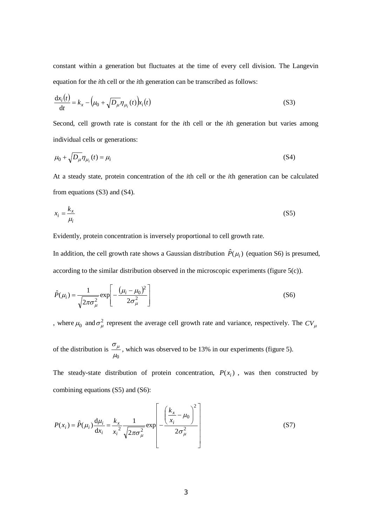constant within a generation but fluctuates at the time of every cell division. The Langevin equation for the *i*th cell or the *i*th generation can be transcribed as follows:

$$
\frac{\mathrm{d}x_i(t)}{\mathrm{d}t} = k_x - \left(\mu_0 + \sqrt{D_\mu} \eta_{\mu_i}(t)\right) x_i(t)
$$
\n(S3)

Second, cell growth rate is constant for the *i*th cell or the *i*th generation but varies among individual cells or generations:

$$
\mu_0 + \sqrt{D_\mu} \eta_{\mu_i}(t) = \mu_i \tag{S4}
$$

At a steady state, protein concentration of the *i*th cell or the *i*th generation can be calculated from equations (S3) and (S4).

$$
x_i = \frac{k_x}{\mu_i} \tag{S5}
$$

Evidently, protein concentration is inversely proportional to cell growth rate.

In addition, the cell growth rate shows a Gaussian distribution  $\hat{P}(\mu_i)$  (equation S6) is presumed, according to the similar distribution observed in the microscopic experiments (figure 5(c)).

$$
\hat{P}(\mu_i) = \frac{1}{\sqrt{2\pi\sigma_\mu^2}} \exp\left[-\frac{(\mu_i - \mu_0)^2}{2\sigma_\mu^2}\right]
$$
\n(S6)

, where  $\mu_0$  and  $\sigma_\mu^2$  represent the average cell growth rate and variance, respectively. The  $CV_\mu$ 

of the distribution is  $\mu_0$  $\frac{\sigma_{\mu}}{\sigma}$ , which was observed to be 13% in our experiments (figure 5).

The steady-state distribution of protein concentration,  $P(x_i)$ , was then constructed by combining equations (S5) and (S6):

$$
P(x_i) = \hat{P}(\mu_i) \frac{d\mu_i}{dx_i} = \frac{k_x}{x_i^2} \frac{1}{\sqrt{2\pi\sigma_{\mu}^2}} \exp\left[-\frac{\left(\frac{k_x}{x_i} - \mu_0\right)^2}{2\sigma_{\mu}^2}\right]
$$
(S7)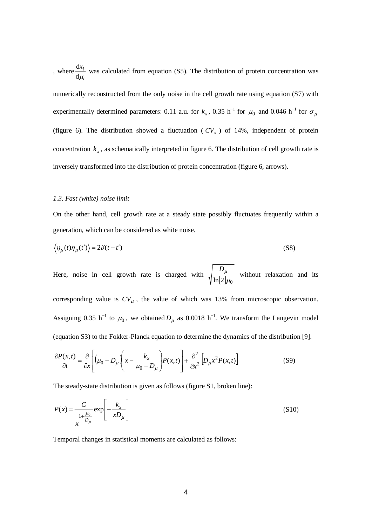, where *i*  $x_i$  $d\mu_i$  $\frac{dx_i}{dx}$  was calculated from equation (S5). The distribution of protein concentration was numerically reconstructed from the only noise in the cell growth rate using equation (S7) with experimentally determined parameters: 0.11 a.u. for  $k_x$ , 0.35 h<sup>-1</sup> for  $\mu_0$  and 0.046 h<sup>-1</sup> for  $\sigma_\mu$ (figure 6). The distribution showed a fluctuation ( $CV<sub>x</sub>$ ) of 14%, independent of protein concentration  $k<sub>x</sub>$ , as schematically interpreted in figure 6. The distribution of cell growth rate is inversely transformed into the distribution of protein concentration (figure 6, arrows).

## *1.3. Fast (white) noise limit*

On the other hand, cell growth rate at a steady state possibly fluctuates frequently within a generation, which can be considered as white noise.

$$
\langle \eta_{\mu}(t)\eta_{\mu}(t')\rangle = 2\delta(t-t')
$$
 (S8)

Here, noise in cell growth rate is charged with  $\sqrt{\frac{-\mu}{\ln[2]\mu_0}}$  $\frac{D_{\mu}}{5.1}$  without relaxation and its corresponding value is  $CV_{\mu}$ , the value of which was 13% from microscopic observation. Assigning 0.35 h<sup>-1</sup> to  $\mu_0$ , we obtained  $D_\mu$  as 0.0018 h<sup>-1</sup>. We transform the Langevin model (equation S3) to the Fokker-Planck equation to determine the dynamics of the distribution [9].

$$
\frac{\partial P(x,t)}{\partial t} = \frac{\partial}{\partial x} \left[ \left( \mu_0 - D_\mu \right) \left( x - \frac{k_x}{\mu_0 - D_\mu} \right) P(x,t) \right] + \frac{\partial^2}{\partial x^2} \left[ D_\mu x^2 P(x,t) \right] \tag{S9}
$$

The steady-state distribution is given as follows (figure S1, broken line):

$$
P(x) = \frac{C}{\frac{1 + \frac{\mu_0}{D_\mu}}{x}} \exp\left[-\frac{k_x}{xD_\mu}\right]
$$
(S10)

Temporal changes in statistical moments are calculated as follows: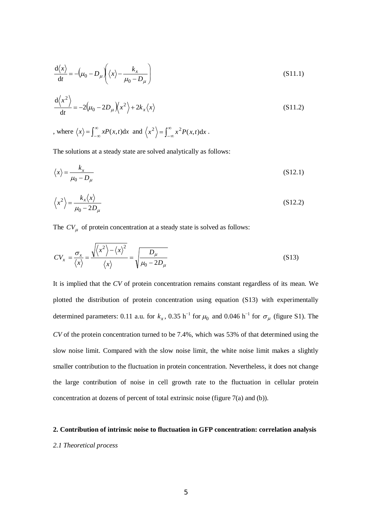$$
\frac{d\langle x \rangle}{dt} = -\left(\mu_0 - D_\mu\right) \left(\langle x \rangle - \frac{k_x}{\mu_0 - D_\mu}\right) \tag{S11.1}
$$

$$
\frac{d\langle x^2 \rangle}{dt} = -2(\mu_0 - 2D_\mu)\langle x^2 \rangle + 2k_x \langle x \rangle
$$
 (S11.2)

, where  $\langle x \rangle = \int_{-\infty}^{\infty} xP(x,t)dx$  and  $\langle x^2 \rangle = \int_{-\infty}^{\infty} x^2 P(x,t)dx$ .

The solutions at a steady state are solved analytically as follows:

$$
\langle x \rangle = \frac{k_x}{\mu_0 - D_\mu} \tag{S12.1}
$$

$$
\left\langle x^2 \right\rangle = \frac{k_x \langle x \rangle}{\mu_0 - 2D_\mu} \tag{S12.2}
$$

The  $CV_\mu$  of protein concentration at a steady state is solved as follows:

$$
CV_x = \frac{\sigma_x}{\langle x \rangle} = \frac{\sqrt{\langle x^2 \rangle - \langle x \rangle^2}}{\langle x \rangle} = \sqrt{\frac{D_\mu}{\mu_0 - 2D_\mu}}
$$
(S13)

It is implied that the *CV* of protein concentration remains constant regardless of its mean. We plotted the distribution of protein concentration using equation (S13) with experimentally determined parameters: 0.11 a.u. for  $k_x$ , 0.35 h<sup>-1</sup> for  $\mu_0$  and 0.046 h<sup>-1</sup> for  $\sigma_\mu$  (figure S1). The *CV* of the protein concentration turned to be 7.4%, which was 53% of that determined using the slow noise limit. Compared with the slow noise limit, the white noise limit makes a slightly smaller contribution to the fluctuation in protein concentration. Nevertheless, it does not change the large contribution of noise in cell growth rate to the fluctuation in cellular protein concentration at dozens of percent of total extrinsic noise (figure 7(a) and (b)).

### **2. Contribution of intrinsic noise to fluctuation in GFP concentration: correlation analysis**

## *2.1 Theoretical process*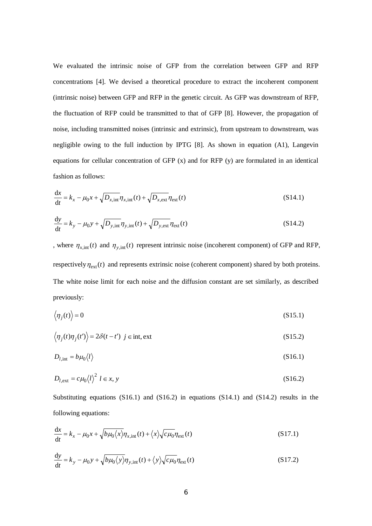We evaluated the intrinsic noise of GFP from the correlation between GFP and RFP concentrations [4]. We devised a theoretical procedure to extract the incoherent component (intrinsic noise) between GFP and RFP in the genetic circuit. As GFP was downstream of RFP, the fluctuation of RFP could be transmitted to that of GFP [8]. However, the propagation of noise, including transmitted noises (intrinsic and extrinsic), from upstream to downstream, was negligible owing to the full induction by IPTG [8]. As shown in equation (A1), Langevin equations for cellular concentration of GFP (x) and for RFP (y) are formulated in an identical fashion as follows:

$$
\frac{\mathrm{d}x}{\mathrm{d}t} = k_x - \mu_0 x + \sqrt{D_{x,\text{int}}} \eta_{x,\text{int}}(t) + \sqrt{D_{x,\text{ext}}} \eta_{\text{ext}}(t) \tag{S14.1}
$$

$$
\frac{dy}{dt} = k_y - \mu_0 y + \sqrt{D_{y,\text{int}}} \eta_{y,\text{int}}(t) + \sqrt{D_{y,\text{ext}}} \eta_{\text{ext}}(t)
$$
\n(S14.2)

, where  $\eta_{x,\text{int}}(t)$  and  $\eta_{y,\text{int}}(t)$  represent intrinsic noise (incoherent component) of GFP and RFP, respectively  $\eta_{ext}(t)$  and represents extrinsic noise (coherent component) shared by both proteins. The white noise limit for each noise and the diffusion constant are set similarly, as described previously:

$$
\langle \eta_j(t) \rangle = 0 \tag{S15.1}
$$

$$
\langle \eta_j(t)\eta_j(t') \rangle = 2\delta(t - t') \ \ j \in \text{int}, \text{ext}
$$
\n(S15.2)

$$
D_{l, \text{int}} = b\mu_0 \langle l \rangle \tag{S16.1}
$$

$$
D_{l, \text{ext}} = c\mu_0 \langle l \rangle^2 \ l \in x, \, y \tag{S16.2}
$$

Substituting equations (S16.1) and (S16.2) in equations (S14.1) and (S14.2) results in the following equations:

$$
\frac{dx}{dt} = k_x - \mu_0 x + \sqrt{b\mu_0 \langle x \rangle} \eta_{x,\text{int}}(t) + \langle x \rangle \sqrt{c\mu_0} \eta_{\text{ext}}(t)
$$
\n(S17.1)

$$
\frac{dy}{dt} = k_y - \mu_0 y + \sqrt{b\mu_0 \langle y \rangle} \eta_{y,\text{int}}(t) + \langle y \rangle \sqrt{c\mu_0} \eta_{\text{ext}}(t)
$$
\n(S17.2)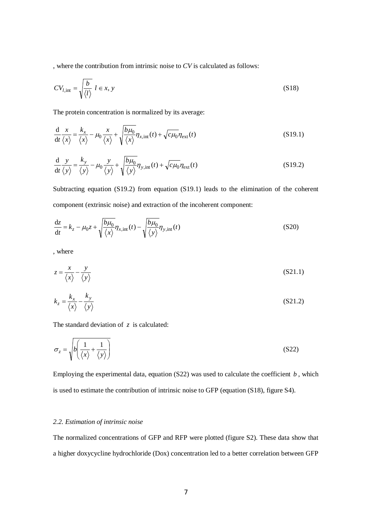, where the contribution from intrinsic noise to *CV* is calculated as follows:

$$
CV_{l, \text{int}} = \sqrt{\frac{b}{\langle l \rangle}} \ l \in x, y \tag{S18}
$$

The protein concentration is normalized by its average:

$$
\frac{d}{dt}\frac{x}{\langle x \rangle} = \frac{k_x}{\langle x \rangle} - \mu_0 \frac{x}{\langle x \rangle} + \sqrt{\frac{b\mu_0}{\langle x \rangle}} \eta_{x,\text{int}}(t) + \sqrt{c\mu_0} \eta_{\text{ext}}(t)
$$
\n(S19.1)

$$
\frac{d}{dt}\frac{y}{\langle y \rangle} = \frac{k_y}{\langle y \rangle} - \mu_0 \frac{y}{\langle y \rangle} + \sqrt{\frac{b\mu_0}{\langle y \rangle}} \eta_{y, \text{int}}(t) + \sqrt{c\mu_0} \eta_{\text{ext}}(t)
$$
\n(S19.2)

Subtracting equation (S19.2) from equation (S19.1) leads to the elimination of the coherent component (extrinsic noise) and extraction of the incoherent component:

$$
\frac{dz}{dt} = k_z - \mu_0 z + \sqrt{\frac{b\mu_0}{\langle x \rangle}} \eta_{x,\text{int}}(t) - \sqrt{\frac{b\mu_0}{\langle y \rangle}} \eta_{y,\text{int}}(t)
$$
\n(S20)

, where

$$
z = \frac{x}{\langle x \rangle} - \frac{y}{\langle y \rangle} \tag{S21.1}
$$

$$
k_z = \frac{k_x}{\langle x \rangle} - \frac{k_y}{\langle y \rangle} \tag{S21.2}
$$

The standard deviation of *z* is calculated:

$$
\sigma_z = \sqrt{b \left( \frac{1}{\langle x \rangle} + \frac{1}{\langle y \rangle} \right)}
$$
(S22)

Employing the experimental data, equation (S22) was used to calculate the coefficient *b* , which is used to estimate the contribution of intrinsic noise to GFP (equation (S18), figure S4).

# *2.2. Estimation of intrinsic noise*

The normalized concentrations of GFP and RFP were plotted (figure S2). These data show that a higher doxycycline hydrochloride (Dox) concentration led to a better correlation between GFP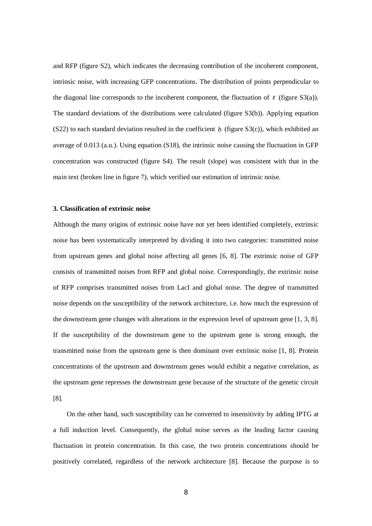and RFP (figure S2), which indicates the decreasing contribution of the incoherent component, intrinsic noise, with increasing GFP concentrations. The distribution of points perpendicular to the diagonal line corresponds to the incoherent component, the fluctuation of  $\zeta$  (figure S3(a)). The standard deviations of the distributions were calculated (figure S3(b)). Applying equation (S22) to each standard deviation resulted in the coefficient *b* (figure  $S_3(c)$ ), which exhibited an average of 0.013 (a.u.). Using equation (S18), the intrinsic noise causing the fluctuation in GFP concentration was constructed (figure S4). The result (slope) was consistent with that in the main text (broken line in figure 7), which verified our estimation of intrinsic noise.

## **3. Classification of extrinsic noise**

Although the many origins of extrinsic noise have not yet been identified completely, extrinsic noise has been systematically interpreted by dividing it into two categories: transmitted noise from upstream genes and global noise affecting all genes [6, 8]. The extrinsic noise of GFP consists of transmitted noises from RFP and global noise. Correspondingly, the extrinsic noise of RFP comprises transmitted noises from LacI and global noise. The degree of transmitted noise depends on the susceptibility of the network architecture, i.e. how much the expression of the downstream gene changes with alterations in the expression level of upstream gene [1, 3, 8]. If the susceptibility of the downstream gene to the upstream gene is strong enough, the transmitted noise from the upstream gene is then dominant over extrinsic noise [1, 8]. Protein concentrations of the upstream and downstream genes would exhibit a negative correlation, as the upstream gene represses the downstream gene because of the structure of the genetic circuit [8].

On the other hand, such susceptibility can be converted to insensitivity by adding IPTG at a full induction level. Consequently, the global noise serves as the leading factor causing fluctuation in protein concentration. In this case, the two protein concentrations should be positively correlated, regardless of the network architecture [8]. Because the purpose is to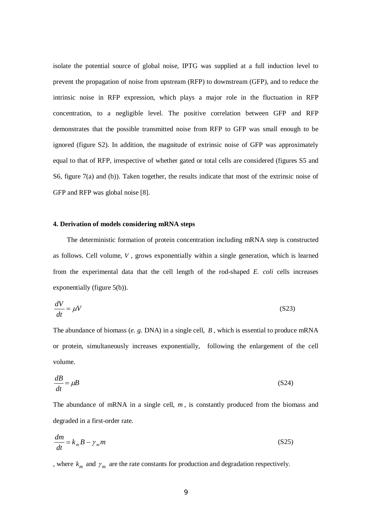isolate the potential source of global noise, IPTG was supplied at a full induction level to prevent the propagation of noise from upstream (RFP) to downstream (GFP), and to reduce the intrinsic noise in RFP expression, which plays a major role in the fluctuation in RFP concentration, to a negligible level. The positive correlation between GFP and RFP demonstrates that the possible transmitted noise from RFP to GFP was small enough to be ignored (figure S2). In addition, the magnitude of extrinsic noise of GFP was approximately equal to that of RFP, irrespective of whether gated or total cells are considered (figures S5 and S6, figure 7(a) and (b)). Taken together, the results indicate that most of the extrinsic noise of GFP and RFP was global noise [8].

#### **4. Derivation of models considering mRNA steps**

The deterministic formation of protein concentration including mRNA step is constructed as follows. Cell volume, *V* , grows exponentially within a single generation, which is learned from the experimental data that the cell length of the rod-shaped *E. coli* cells increases exponentially (figure 5(b)).

$$
\frac{dV}{dt} = \mu V \tag{S23}
$$

The abundance of biomass (*e. g.* DNA) in a single cell, *B* , which is essential to produce mRNA or protein, simultaneously increases exponentially, following the enlargement of the cell volume.

$$
\frac{dB}{dt} = \mu B \tag{S24}
$$

The abundance of mRNA in a single cell,  $m$ , is constantly produced from the biomass and degraded in a first-order rate.

$$
\frac{dm}{dt} = k_m B - \gamma_m m \tag{S25}
$$

, where  $k_m$  and  $\gamma_m$  are the rate constants for production and degradation respectively.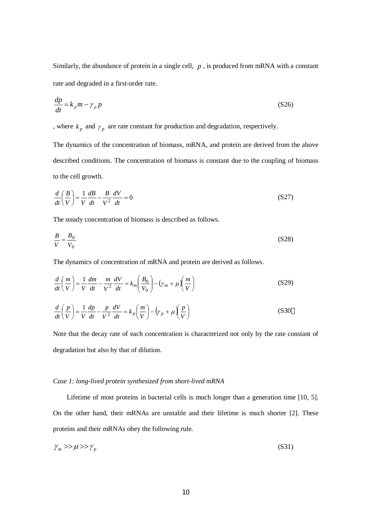Similarly, the abundance of protein in a single cell, *p* , is produced from mRNA with a constant rate and degraded in a first-order rate.

$$
\frac{dp}{dt} = k_p m - \gamma_p p \tag{S26}
$$

, where  $k_p$  and  $\gamma_p$  are rate constant for production and degradation, respectively.

The dynamics of the concentration of biomass, mRNA, and protein are derived from the above described conditions. The concentration of biomass is constant due to the coupling of biomass to the cell growth.

$$
\frac{d}{dt}\left(\frac{B}{V}\right) = \frac{1}{V}\frac{dB}{dt} - \frac{B}{V^2}\frac{dV}{dt} = 0
$$
\n(S27)

The steady concentration of biomass is described as follows.

$$
\frac{B}{V} = \frac{B_0}{V_0} \tag{S28}
$$

The dynamics of concentration of mRNA and protein are derived as follows.

$$
\frac{d}{dt}\left(\frac{m}{V}\right) = \frac{1}{V}\frac{dm}{dt} - \frac{m}{V^2}\frac{dV}{dt} = k_m\left(\frac{B_0}{V_0}\right) - \left(\gamma_m + \mu\right)\left(\frac{m}{V}\right)
$$
\n(S29)

$$
\frac{d}{dt}\left(\frac{p}{V}\right) = \frac{1}{V}\frac{dp}{dt} - \frac{p}{V^2}\frac{dV}{dt} = k_p \left(\frac{m}{V}\right) - \left(\gamma_p + \mu\right)\left(\frac{p}{V}\right)
$$
\n(S30)

Note that the decay rate of each concentration is characterized not only by the rate constant of degradation but also by that of dilution.

## *Case 1: long-lived protein synthesized from short-lived mRNA*

Lifetime of most proteins in bacterial cells is much longer than a generation time [10, 5]. On the other hand, their mRNAs are unstable and their lifetime is much shorter [2]. These proteins and their mRNAs obey the following rule.

$$
\gamma_m \gg \mu \gg \gamma_p \tag{S31}
$$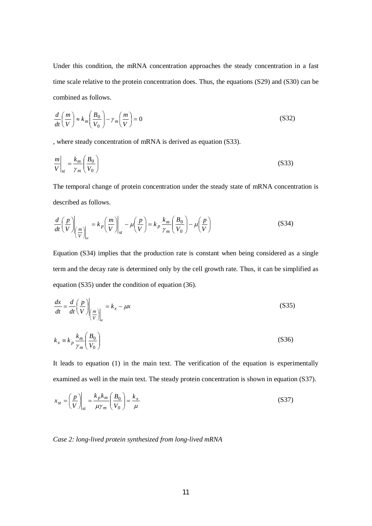Under this condition, the mRNA concentration approaches the steady concentration in a fast time scale relative to the protein concentration does. Thus, the equations (S29) and (S30) can be combined as follows.

$$
\frac{d}{dt}\left(\frac{m}{V}\right) \approx k_m \left(\frac{B_0}{V_0}\right) - \gamma_m \left(\frac{m}{V}\right) = 0
$$
\n(S32)

, where steady concentration of mRNA is derived as equation (S33).

$$
\left. \frac{m}{V} \right|_{st} = \frac{k_m}{\gamma_m} \left( \frac{B_0}{V_0} \right) \tag{S33}
$$

The temporal change of protein concentration under the steady state of mRNA concentration is described as follows.

$$
\frac{d}{dt}\left(\frac{p}{V}\right)\Big|_{\left(\frac{m}{V}\right)\Big|_{st}} = k_p \left(\frac{m}{V}\right)\Big|_{st} - \mu \left(\frac{p}{V}\right) = k_p \frac{k_m}{\gamma_m} \left(\frac{B_0}{V_0}\right) - \mu \left(\frac{p}{V}\right)
$$
\n(S34)

Equation (S34) implies that the production rate is constant when being considered as a single term and the decay rate is determined only by the cell growth rate. Thus, it can be simplified as equation (S35) under the condition of equation (36).

$$
\frac{dx}{dt} = \frac{d}{dt} \left(\frac{p}{V}\right)_{\left(\frac{m}{V}\right)_{st}} = k_x - \mu x
$$
\n(S35)

$$
k_x \equiv k_p \frac{k_m}{\gamma_m} \left(\frac{B_0}{V_0}\right) \tag{S36}
$$

It leads to equation (1) in the main text. The verification of the equation is experimentally examined as well in the main text. The steady protein concentration is shown in equation (S37).

$$
x_{st} = \left(\frac{p}{V}\right)_{st} = \frac{k_p k_m}{\mu \gamma_m} \left(\frac{B_0}{V_0}\right) = \frac{k_x}{\mu}
$$
 (S37)

*Case 2: long-lived protein synthesized from long-lived mRNA*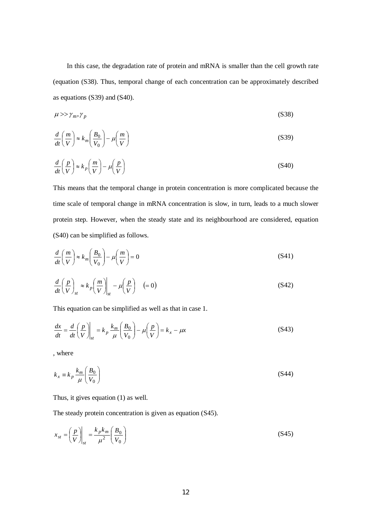In this case, the degradation rate of protein and mRNA is smaller than the cell growth rate (equation (S38). Thus, temporal change of each concentration can be approximately described as equations (S39) and (S40).

$$
\mu \gg \gamma_m, \gamma_p \tag{S38}
$$

$$
\frac{d}{dt}\left(\frac{m}{V}\right) \approx k_m \left(\frac{B_0}{V_0}\right) - \mu \left(\frac{m}{V}\right) \tag{S39}
$$

$$
\frac{d}{dt}\left(\frac{p}{V}\right) \approx k_p \left(\frac{m}{V}\right) - \mu \left(\frac{p}{V}\right) \tag{S40}
$$

This means that the temporal change in protein concentration is more complicated because the time scale of temporal change in mRNA concentration is slow, in turn, leads to a much slower protein step. However, when the steady state and its neighbourhood are considered, equation (S40) can be simplified as follows.

$$
\frac{d}{dt}\left(\frac{m}{V}\right) \approx k_m \left(\frac{B_0}{V_0}\right) - \mu \left(\frac{m}{V}\right) = 0\tag{S41}
$$

$$
\frac{d}{dt}\left(\frac{p}{V}\right)_{st} \approx k_p \left(\frac{m}{V}\right)_{st} - \mu \left(\frac{p}{V}\right) \quad (=0)
$$
\n(S42)

This equation can be simplified as well as that in case 1.

$$
\frac{dx}{dt} = \frac{d}{dt} \left(\frac{p}{V}\right)_{st} = k_p \frac{k_m}{\mu} \left(\frac{B_0}{V_0}\right) - \mu \left(\frac{p}{V}\right) = k_x - \mu x
$$
\n(S43)

, where

$$
k_x \equiv k_p \frac{k_m}{\mu} \left( \frac{B_0}{V_0} \right) \tag{S44}
$$

Thus, it gives equation (1) as well.

The steady protein concentration is given as equation (S45).

$$
x_{st} = \left(\frac{p}{V}\right)_{st} = \frac{k_p k_m}{\mu^2} \left(\frac{B_0}{V_0}\right)
$$
 (S45)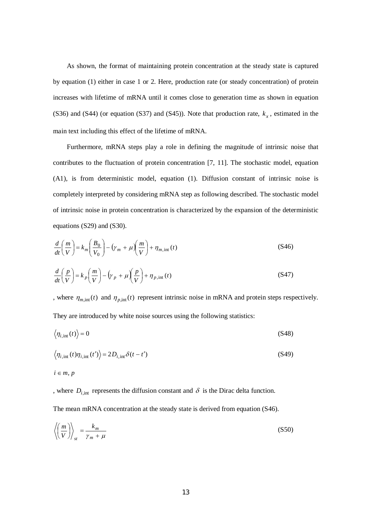As shown, the format of maintaining protein concentration at the steady state is captured by equation (1) either in case 1 or 2. Here, production rate (or steady concentration) of protein increases with lifetime of mRNA until it comes close to generation time as shown in equation (S36) and (S44) (or equation (S37) and (S45)). Note that production rate,  $k_x$ , estimated in the main text including this effect of the lifetime of mRNA.

Furthermore, mRNA steps play a role in defining the magnitude of intrinsic noise that contributes to the fluctuation of protein concentration [7, 11]. The stochastic model, equation (A1), is from deterministic model, equation (1). Diffusion constant of intrinsic noise is completely interpreted by considering mRNA step as following described. The stochastic model of intrinsic noise in protein concentration is characterized by the expansion of the deterministic equations (S29) and (S30).

$$
\frac{d}{dt}\left(\frac{m}{V}\right) = k_m \left(\frac{B_0}{V_0}\right) - \left(\gamma_m + \mu\right)\left(\frac{m}{V}\right) + \eta_{m,\text{int}}(t)
$$
\n(S46)

$$
\frac{d}{dt}\left(\frac{p}{V}\right) = k_p \left(\frac{m}{V}\right) - \left(\gamma_p + \mu\right)\left(\frac{p}{V}\right) + \eta_{p,\text{int}}(t)
$$
\n(S47)

, where  $\eta_{m,\text{int}}(t)$  and  $\eta_{p,\text{int}}(t)$  represent intrinsic noise in mRNA and protein steps respectively. They are introduced by white noise sources using the following statistics:

$$
\langle \eta_{i,\text{int}}(t) \rangle = 0 \tag{S48}
$$

$$
\langle \eta_{i,\text{int}}(t)\eta_{i,\text{int}}(t')\rangle = 2D_{i,\text{int}}\delta(t-t')
$$
\n(S49)

 $i \in m, p$ 

, where  $D_{i, \text{int}}$  represents the diffusion constant and  $\delta$  is the Dirac delta function.

The mean mRNA concentration at the steady state is derived from equation (S46).

$$
\left\langle \left(\frac{m}{V}\right)\right\rangle_{st} = \frac{k_m}{\gamma_m + \mu} \tag{S50}
$$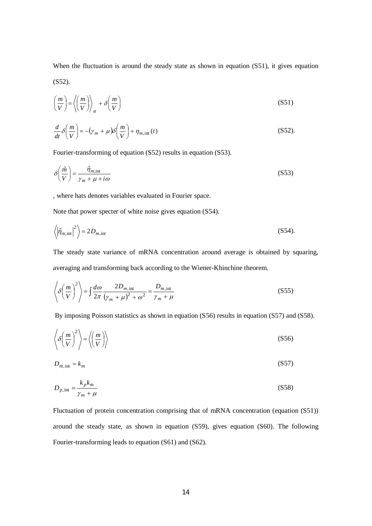When the fluctuation is around the steady state as shown in equation (S51), it gives equation (S52).

$$
\left(\frac{m}{V}\right) = \left\langle \left(\frac{m}{V}\right)\right\rangle_{st} + \delta\left(\frac{m}{V}\right) \tag{S51}
$$

$$
\frac{d}{dt}\delta\left(\frac{m}{V}\right) = -\left(\gamma_m + \mu\right)\delta\left(\frac{m}{V}\right) + \eta_{m,\text{int}}(t)
$$
\n(S52)

Fourier-transforming of equation (S52) results in equation (S53).

$$
\delta\left(\frac{\hat{m}}{V}\right) = \frac{\hat{\eta}_{m,\text{int}}}{\gamma_m + \mu + i\omega} \tag{S53}
$$

, where hats denotes variables evaluated in Fourier space.

Note that power specter of white noise gives equation (S54).

$$
\left\langle \left| \hat{\eta}_{m,\text{int}} \right|^2 \right\rangle = 2D_{m,\text{int}} \tag{S54}
$$

The steady state variance of mRNA concentration around average is obtained by squaring, averaging and transforming back according to the Wiener-Khinchine theorem.

$$
\left\langle \delta \left( \frac{m}{V} \right)^2 \right\rangle = \int \frac{d\omega}{2\pi} \frac{2D_{m,\text{int}}}{\left(\gamma_m + \mu\right)^2 + \omega^2} = \frac{D_{m,\text{int}}}{\gamma_m + \mu}
$$
\n(S55)

By imposing Poisson statistics as shown in equation (S56) results in equation (S57) and (S58).

$$
\left\langle \delta \left( \frac{m}{V} \right)^2 \right\rangle = \left\langle \left( \frac{m}{V} \right) \right\rangle \tag{S56}
$$

$$
D_{m,\text{int}} = k_m \tag{S57}
$$

$$
D_{p,\text{int}} = \frac{k_p k_m}{\gamma_m + \mu} \tag{S58}
$$

Fluctuation of protein concentration comprising that of mRNA concentration (equation (S51)) around the steady state, as shown in equation (S59), gives equation (S60). The following Fourier-transforming leads to equation (S61) and (S62).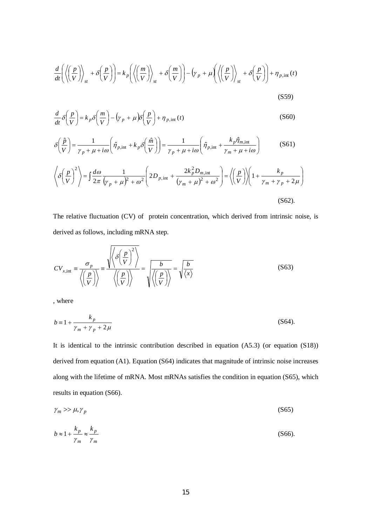$$
\frac{d}{dt}\left(\left\langle \left(\frac{p}{V}\right)\right\rangle_{st} + \delta\left(\frac{p}{V}\right)\right) = k_p \left(\left\langle \left(\frac{m}{V}\right)\right\rangle_{st} + \delta\left(\frac{m}{V}\right)\right) - \left(\gamma_p + \mu\left(\left\langle \left(\frac{p}{V}\right)\right\rangle_{st} + \delta\left(\frac{p}{V}\right)\right) + \eta_{p,\text{int}}(t)
$$
\n(S59)

$$
\frac{d}{dt}\delta\left(\frac{p}{V}\right) = k_p \delta\left(\frac{m}{V}\right) - \left(\gamma_p + \mu\right)\delta\left(\frac{p}{V}\right) + \eta_{p,\text{int}}(t)
$$
\n(S60)

$$
\delta\left(\frac{\hat{p}}{V}\right) = \frac{1}{\gamma_p + \mu + i\omega} \left(\hat{\eta}_{p,\text{int}} + k_p \delta\left(\frac{\hat{m}}{V}\right)\right) = \frac{1}{\gamma_p + \mu + i\omega} \left(\hat{\eta}_{p,\text{int}} + \frac{k_p \hat{\eta}_{m,\text{int}}}{\gamma_m + \mu + i\omega}\right)
$$
(S61)

$$
\left\langle \delta \left( \frac{p}{V} \right)^2 \right\rangle = \int \frac{d\omega}{2\pi} \frac{1}{\left( \gamma_p + \mu \right)^2 + \omega^2} \left( 2D_{p,\text{int}} + \frac{2k_p^2 D_{m,\text{int}}}{\left( \gamma_m + \mu \right)^2 + \omega^2} \right) = \left\langle \left( \frac{p}{V} \right) \right\rangle \left( 1 + \frac{k_p}{\gamma_m + \gamma_p + 2\mu} \right)
$$
\n(S62).

The relative fluctuation (CV) of protein concentration, which derived from intrinsic noise, is derived as follows, including mRNA step.

$$
CV_{x,\text{int}} \equiv \frac{\sigma_p}{\left\langle \left(\frac{p}{V}\right) \right\rangle} \equiv \frac{\sqrt{\left\langle \delta \left(\frac{p}{V}\right)^2 \right\rangle}}{\left\langle \left(\frac{p}{V}\right) \right\rangle} = \frac{b}{\sqrt{\left\langle \left(\frac{p}{V}\right) \right\rangle}} = \sqrt{\frac{b}{\left\langle x \right\rangle}}
$$
(S63)

, where

$$
b = 1 + \frac{k_p}{\gamma_m + \gamma_p + 2\mu} \tag{S64}
$$

It is identical to the intrinsic contribution described in equation (A5.3) (or equation (S18)) derived from equation (A1). Equation (S64) indicates that magnitude of intrinsic noise increases along with the lifetime of mRNA. Most mRNAs satisfies the condition in equation (S65), which results in equation (S66).

$$
\gamma_m \gg \mu, \gamma_p \tag{S65}
$$

$$
b \approx 1 + \frac{k_p}{\gamma_m} \approx \frac{k_p}{\gamma_m} \tag{S66}
$$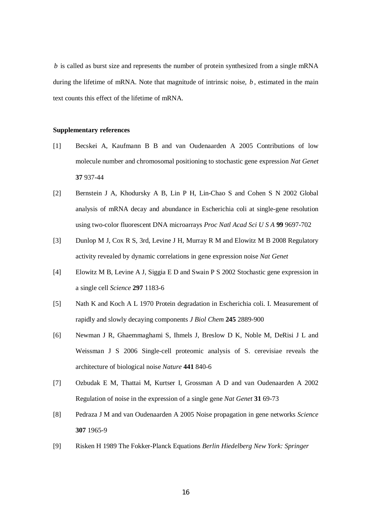*b* is called as burst size and represents the number of protein synthesized from a single mRNA during the lifetime of mRNA. Note that magnitude of intrinsic noise, *b*, estimated in the main text counts this effect of the lifetime of mRNA.

## **Supplementary references**

- [1] Becskei A, Kaufmann B B and van Oudenaarden A 2005 Contributions of low molecule number and chromosomal positioning to stochastic gene expression *Nat Genet* **37** 937-44
- [2] Bernstein J A, Khodursky A B, Lin P H, Lin-Chao S and Cohen S N 2002 Global analysis of mRNA decay and abundance in Escherichia coli at single-gene resolution using two-color fluorescent DNA microarrays *Proc Natl Acad Sci U S A* **99** 9697-702
- [3] Dunlop M J, Cox R S, 3rd, Levine J H, Murray R M and Elowitz M B 2008 Regulatory activity revealed by dynamic correlations in gene expression noise *Nat Genet*
- [4] Elowitz M B, Levine A J, Siggia E D and Swain P S 2002 Stochastic gene expression in a single cell *Science* **297** 1183-6
- [5] Nath K and Koch A L 1970 Protein degradation in Escherichia coli. I. Measurement of rapidly and slowly decaying components *J Biol Chem* **245** 2889-900
- [6] Newman J R, Ghaemmaghami S, Ihmels J, Breslow D K, Noble M, DeRisi J L and Weissman J S 2006 Single-cell proteomic analysis of S. cerevisiae reveals the architecture of biological noise *Nature* **441** 840-6
- [7] Ozbudak E M, Thattai M, Kurtser I, Grossman A D and van Oudenaarden A 2002 Regulation of noise in the expression of a single gene *Nat Genet* **31** 69-73
- [8] Pedraza J M and van Oudenaarden A 2005 Noise propagation in gene networks *Science* **307** 1965-9
- [9] Risken H 1989 The Fokker-Planck Equations *Berlin Hiedelberg New York: Springer*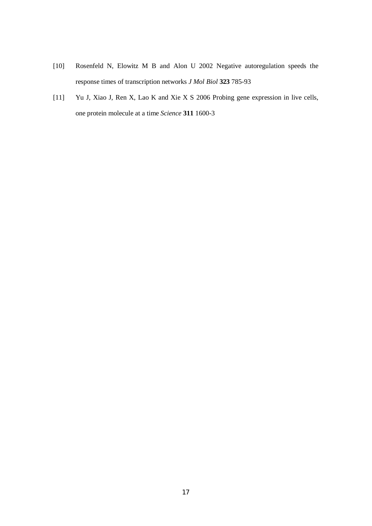- [10] Rosenfeld N, Elowitz M B and Alon U 2002 Negative autoregulation speeds the response times of transcription networks *J Mol Biol* **323** 785-93
- [11] Yu J, Xiao J, Ren X, Lao K and Xie X S 2006 Probing gene expression in live cells, one protein molecule at a time *Science* **311** 1600-3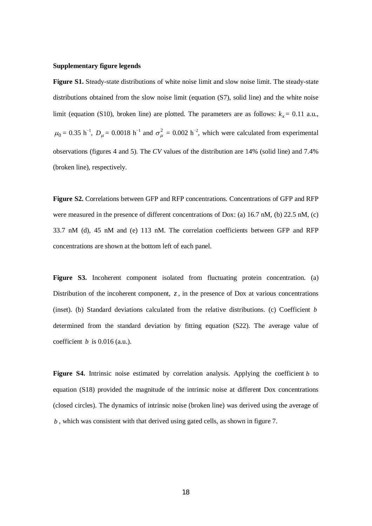## **Supplementary figure legends**

**Figure S1.** Steady-state distributions of white noise limit and slow noise limit. The steady-state distributions obtained from the slow noise limit (equation (S7), solid line) and the white noise limit (equation (S10), broken line) are plotted. The parameters are as follows:  $k<sub>r</sub> = 0.11$  a.u.,  $\mu_0$  = 0.35 h<sup>-1</sup>,  $D_\mu$  = 0.0018 h<sup>-1</sup> and  $\sigma_\mu^2$  = 0.002 h<sup>-2</sup>, which were calculated from experimental observations (figures 4 and 5). The *CV* values of the distribution are 14% (solid line) and 7.4% (broken line), respectively.

**Figure S2.** Correlations between GFP and RFP concentrations. Concentrations of GFP and RFP were measured in the presence of different concentrations of Dox: (a) 16.7 nM, (b) 22.5 nM, (c) 33.7 nM (d), 45 nM and (e) 113 nM. The correlation coefficients between GFP and RFP concentrations are shown at the bottom left of each panel.

**Figure S3.** Incoherent component isolated from fluctuating protein concentration. (a) Distribution of the incoherent component, *z*, in the presence of Dox at various concentrations (inset). (b) Standard deviations calculated from the relative distributions. (c) Coefficient *b* determined from the standard deviation by fitting equation (S22). The average value of coefficient  $b$  is 0.016 (a.u.).

**Figure S4.** Intrinsic noise estimated by correlation analysis. Applying the coefficient *b* to equation (S18) provided the magnitude of the intrinsic noise at different Dox concentrations (closed circles). The dynamics of intrinsic noise (broken line) was derived using the average of *b* , which was consistent with that derived using gated cells, as shown in figure 7.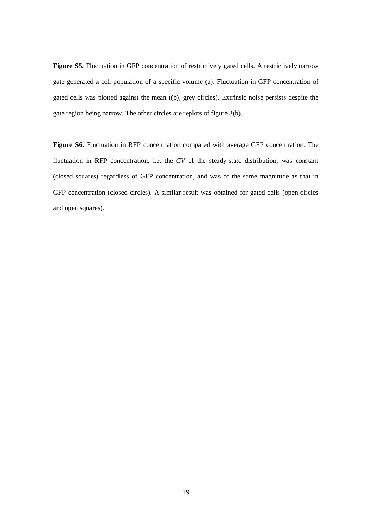**Figure S5.** Fluctuation in GFP concentration of restrictively gated cells. A restrictively narrow gate generated a cell population of a specific volume (a). Fluctuation in GFP concentration of gated cells was plotted against the mean ((b), grey circles). Extrinsic noise persists despite the gate region being narrow. The other circles are replots of figure 3(b).

**Figure S6.** Fluctuation in RFP concentration compared with average GFP concentration. The fluctuation in RFP concentration, i.e. the *CV* of the steady-state distribution, was constant (closed squares) regardless of GFP concentration, and was of the same magnitude as that in GFP concentration (closed circles). A similar result was obtained for gated cells (open circles and open squares).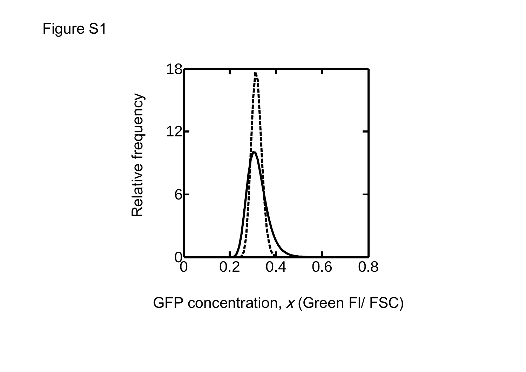

GFP concentration, x (Green FI/ FSC)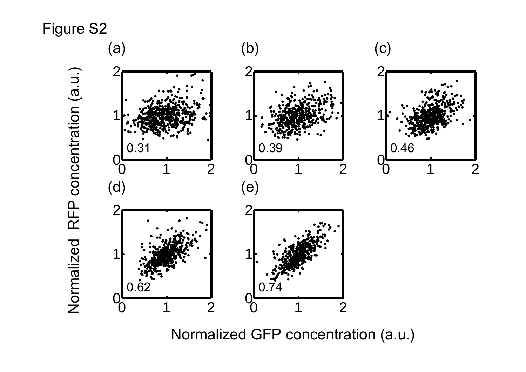

Normalized GFP concentration (a.u.)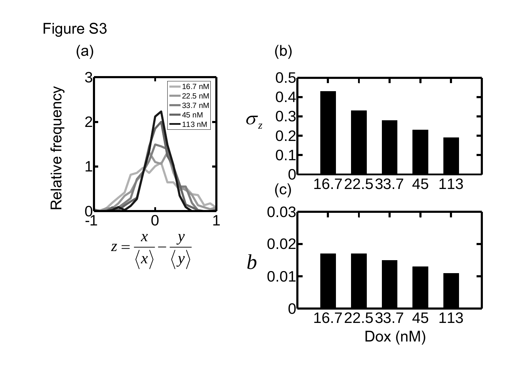

(b)

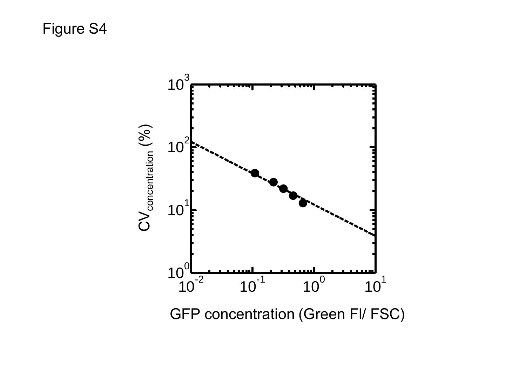

GFP concentration (Green Fl/ FSC)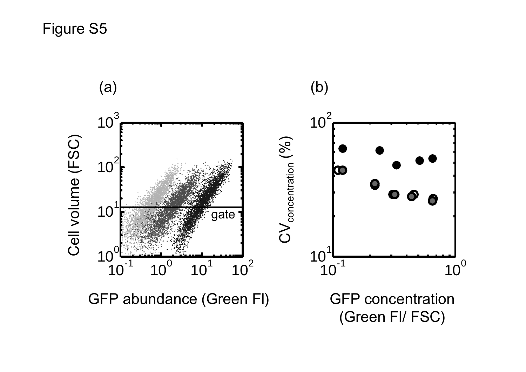